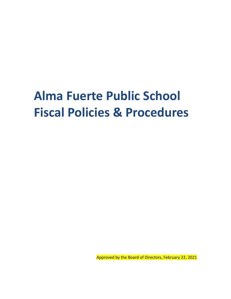# **Alma Fuerte Public School Fiscal Policies & Procedures**

Approved by the Board of Directors, February 22, 2021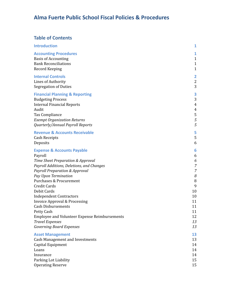# **Alma Fuerte Public School Fiscal Policies & Procedures**

# **Table of Contents**

| <b>Introduction</b>                           | 1                       |
|-----------------------------------------------|-------------------------|
| <b>Accounting Procedures</b>                  | 1                       |
| <b>Basis of Accounting</b>                    | $\mathbf{1}$            |
| <b>Bank Reconciliations</b>                   | $\mathbf{1}$            |
| <b>Record Keeping</b>                         | $\mathbf{1}$            |
| <b>Internal Controls</b>                      | $\overline{\mathbf{2}}$ |
| <b>Lines of Authority</b>                     | $\overline{2}$          |
| <b>Segregation of Duties</b>                  | 3                       |
| <b>Financial Planning &amp; Reporting</b>     | 3                       |
| <b>Budgeting Process</b>                      | 3                       |
| <b>Internal Financial Reports</b>             | 4                       |
| Audit                                         | 4                       |
| Tax Compliance                                | 5                       |
| <b>Exempt Organization Returns</b>            | $\sqrt{5}$              |
| Quarterly/Annual Payroll Reports              | 5                       |
| <b>Revenue &amp; Accounts Receivable</b>      | 5                       |
| Cash Receipts                                 | 5                       |
| Deposits                                      | 6                       |
| <b>Expense &amp; Accounts Payable</b>         | 6                       |
| Payroll                                       | 6                       |
| Time Sheet Preparation & Approval             | 6                       |
| Payroll Additions, Deletions, and Changes     | $\overline{7}$          |
| Payroll Preparation & Approval                | $\overline{7}$          |
| Pay Upon Termination                          | 8                       |
| <b>Purchases &amp; Procurement</b>            | 8                       |
| <b>Credit Cards</b>                           | 9                       |
| Debit Cards                                   | 10                      |
| <b>Independent Contractors</b>                | 10                      |
| <b>Invoice Approval &amp; Processing</b>      | 11                      |
| <b>Cash Disbursements</b>                     | 11                      |
| Petty Cash                                    | 11                      |
| Employee and Volunteer Expense Reimbursements | 12                      |
| <b>Travel Expenses</b>                        | 13                      |
| <b>Governing Board Expenses</b>               | 13                      |
| <b>Asset Management</b>                       | 13                      |
| <b>Cash Management and Investments</b>        | 13                      |
| Capital Equipment                             | 14                      |
| Loans                                         | 14                      |
| Insurance                                     | 14                      |
| Parking Lot Liability                         | 15                      |
| <b>Operating Reserve</b>                      | 15                      |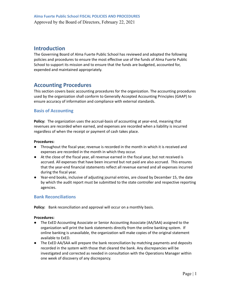# <span id="page-2-0"></span>**Introduction**

The Governing Board of Alma Fuerte Public School has reviewed and adopted the following policies and procedures to ensure the most effective use of the funds of Alma Fuerte Public School to support its mission and to ensure that the funds are budgeted, accounted for, expended and maintained appropriately.

# <span id="page-2-1"></span>**Accounting Procedures**

This section covers basic accounting procedures for the organization. The accounting procedures used by the organization shall conform to Generally Accepted Accounting Principles (GAAP) to ensure accuracy of information and compliance with external standards.

# <span id="page-2-2"></span>**Basis of Accounting**

**Policy:** The organization uses the accrual-basis of accounting at year-end, meaning that revenues are recorded when earned, and expenses are recorded when a liability is incurred regardless of when the receipt or payment of cash takes place.

# **Procedures:**

- Throughout the fiscal year, revenue is recorded in the month in which it is received and expenses are recorded in the month in which they occur.
- At the close of the fiscal year, all revenue earned in the fiscal year, but not received is accrued. All expenses that have been incurred but not paid are also accrued. This ensures that the year-end financial statements reflect all revenue earned and all expenses incurred during the fiscal year.
- Year-end books, inclusive of adjusting journal entries, are closed by December 15, the date by which the audit report must be submitted to the state controller and respective reporting agencies.

# <span id="page-2-3"></span>**Bank Reconciliations**

Policy: Bank reconciliation and approval will occur on a monthly basis.

- The ExED Accounting Associate or Senior Accounting Associate (AA/SAA) assigned to the organization will print the bank statements directly from the online banking system. If online banking is unavailable, the organization will make copies of the original statement available to ExED.
- The ExED AA/SAA will prepare the bank reconciliation by matching payments and deposits recorded in the system with those that cleared the bank. Any discrepancies will be investigated and corrected as needed in consultation with the Operations Manager within one week of discovery of any discrepancy.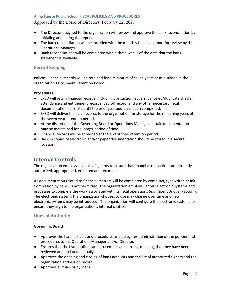# Approved by the Board of Directors, February 22, 2021

- The Director assigned to the organization will review and approve the bank reconciliation by initialing and dating the report.
- The bank reconciliation will be included with the monthly financial report for review by the Operations Manager.
- Bank reconciliations will be completed within three weeks of the date that the bank statement is available.

# <span id="page-3-0"></span>**Record Keeping**

**Policy:** Financial records will be retained for a minimum of seven years or as outlined in the organization's Document Retention Policy.

#### **Procedures:**

- ExED will retain financial records, including transaction ledgers, canceled/duplicate checks, attendance and entitlement records, payroll record, and any other necessary fiscal documentation at its site until the prior year audit has been completed.
- ExED will deliver financial records to the organization for storage for the remaining years of the seven year retention period.
- At the discretion of the Governing Board or Operations Manager, certain documentation may be maintained for a longer period of time.
- Financial records will be shredded at the end of their retention period.
- <span id="page-3-1"></span>● Backup copies of electronic and/or paper documentation should be stored in a secure location.

# **Internal Controls**

The organization employs several safeguards to ensure that financial transactions are properly authorized, appropriated, executed and recorded.

All documentation related to financial matters will be completed by computer, typewriter, or ink. Completion by pencil is not permitted. The organization employs various electronic systems and processes to complete the work associated with its fiscal operations (e.g., SpendBridge, Paycom). The electronic systems the organization chooses to use may change over time and new electronic systems may be introduced. The organization will configure the electronic systems to ensure they align to the organization's internal controls.

# <span id="page-3-2"></span>**Lines of Authority**

#### **Governing Board**

- Approves the fiscal policies and procedures and delegates administration of the policies and procedures to the Operations Manager and/or Director.
- Ensures that the fiscal policies and procedures are current, meaning that they have been reviewed and updated annually.
- Approves the opening and closing of bank accounts and the list of authorized signers and the organization address on record.
- Approves all third-party loans.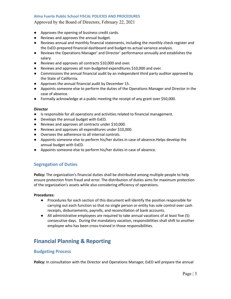Approved by the Board of Directors, February 22, 2021

- Approves the opening of business credit cards.
- Reviews and approves the annual budget.
- Reviews annual and monthly financial statements, including the monthly check register and the ExED-prepared financial dashboard and budget-to-actual variance analysis.
- Reviews the Operations Manager' and Director' performance annually and establishes the salary.
- Reviews and approves all contracts \$10,000 and over.
- Reviews and approves all non-budgeted expenditures \$10,000 and over.
- Commissions the annual financial audit by an independent third party auditor approved by the State of California.
- Approves the annual financial audit by December 15.
- Appoints someone else to perform the duties of the Operations Manager and Director in the case of absence.
- Formally acknowledge at a public meeting the receipt of any grant over \$50,000.

#### **Director**

- **●** Is responsible for all operations and activities related to financial management.
- **●** Develops the annual budget with ExED.
- Reviews and approves all contracts under \$10,000.
- Reviews and approves all expenditures under \$10,000.
- Oversees the adherence to all internal controls.
- **●** Appoints someone else to perform his/her duties in case of absence.Helps develop the annual budget with ExED.
- Appoints someone else to perform his/her duties in case of absence.

# <span id="page-4-0"></span>**Segregation of Duties**

**Policy:** The organization's financial duties shall be distributed among multiple people to help ensure protection from fraud and error. The distribution of duties aims for maximum protection of the organization's assets while also considering efficiency of operations.

#### **Procedures:**

- Procedures for each section of this document will identify the position responsible for carrying out each function so that no single person or entity has sole control over cash receipts, disbursements, payrolls, and reconciliation of bank accounts.
- All administrative employees are required to take annual vacations of at least five (5) consecutive days. During the mandatory vacation, responsibilities shall shift to another employee who has been cross-trained in those responsibilities.

# <span id="page-4-1"></span>**Financial Planning & Reporting**

# <span id="page-4-2"></span>**Budgeting Process**

**Policy:** In consultation with the Director and Operations Manager, ExED will prepare the annual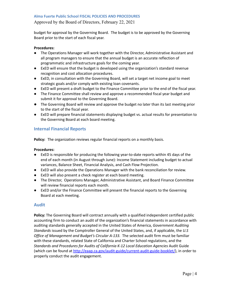Approved by the Board of Directors, February 22, 2021

budget for approval by the Governing Board. The budget is to be approved by the Governing Board prior to the start of each fiscal year.

#### **Procedures:**

- The Operations Manager will work together with the Director, Administrative Assistant and all program managers to ensure that the annual budget is an accurate reflection of programmatic and infrastructure goals for the coming year.
- ExED will ensure that the budget is developed using the organization's standard revenue recognition and cost allocation procedures.
- ExED, in consultation with the Governing Board, will set a target net income goal to meet strategic goals and/or comply with existing loan covenants.
- ExED will present a draft budget to the Finance Committee prior to the end of the fiscal year.
- The Finance Committee shall review and approve a recommended fiscal year budget and submit it for approval to the Governing Board.
- The Governing Board will review and approve the budget no later than its last meeting prior to the start of the fiscal year.
- ExED will prepare financial statements displaying budget vs. actual results for presentation to the Governing Board at each board meeting.

# <span id="page-5-0"></span>**Internal Financial Reports**

**Policy:** The organization reviews regular financial reports on a monthly basis.

#### **Procedures:**

- ExED is responsible for producing the following year-to-date reports within 45 days of the end of each month (in August through June): Income Statement including budget to actual variances, Balance Sheet, Financial Analysis, and Cash Flow Projection.
- ExED will also provide the Operations Manager with the bank reconciliation for review.
- ExED will also present a check register at each board meeting.
- The Director, Operations Manager, Administrative Assistant, and Board Finance Committee will review financial reports each month.
- ExED and/or the Finance Committee will present the financial reports to the Governing Board at each meeting.

# <span id="page-5-1"></span>**Audit**

**Policy:** The Governing Board will contract annually with a qualified independent certified public accounting firm to conduct an audit of the organization's financial statements in accordance with auditing standards generally accepted in the United States of America, *Government Auditing Standards* issued by the Comptroller General of the United States, and, if applicable, the *U.S Office of Management and Budget's Circular A-133.* The selected audit firm must be familiar with these standards, related State of California and Charter School regulations, and the *Standards and Procedures for Audits of California K-12 Local Education Agencies* Audit Guide (which can be found at <http://eaap.ca.gov/audit-guide/current-audit-guide-booklet/>), in order to properly conduct the audit engagement.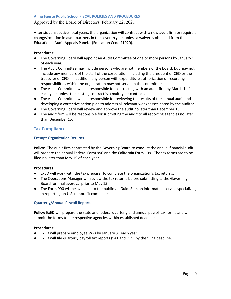Approved by the Board of Directors, February 22, 2021

After six consecutive fiscal years, the organization will contract with a new audit firm or require a change/rotation in audit partners in the seventh year, unless a waiver is obtained from the Educational Audit Appeals Panel. (Education Code 41020).

#### **Procedures:**

- The Governing Board will appoint an Audit Committee of one or more persons by January 1 of each year.
- The Audit Committee may include persons who are not members of the board, but may not include any members of the staff of the corporation, including the president or CEO or the treasurer or CFO. In addition, any person with expenditure authorization or recording responsibilities within the organization may not serve on the committee.
- The Audit Committee will be responsible for contracting with an audit firm by March 1 of each year, unless the existing contract is a multi-year contract.
- The Audit Committee will be responsible for reviewing the results of the annual audit and developing a corrective action plan to address all relevant weaknesses noted by the auditor.
- The Governing Board will review and approve the audit no later than December 15.
- The audit firm will be responsible for submitting the audit to all reporting agencies no later than December 15.

# <span id="page-6-0"></span>**Tax Compliance**

#### <span id="page-6-1"></span>**Exempt Organization Returns**

**Policy:** The audit firm contracted by the Governing Board to conduct the annual financial audit will prepare the annual Federal Form 990 and the California Form 199. The tax forms are to be filed no later than May 15 of each year.

#### **Procedures:**

- ExED will work with the tax preparer to complete the organization's tax returns.
- The Operations Manager will review the tax returns before submitting to the Governing Board for final approval prior to May 15.
- The Form 990 will be available to the public via GuideStar, an information service specializing in reporting on U.S. nonprofit companies.

#### <span id="page-6-2"></span>**Quarterly/Annual Payroll Reports**

**Policy:** ExED will prepare the state and federal quarterly and annual payroll tax forms and will submit the forms to the respective agencies within established deadlines.

- ExED will prepare employee W2s by January 31 each year.
- ExED will file quarterly payroll tax reports (941 and DE9) by the filing deadline.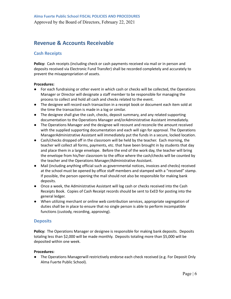# <span id="page-7-0"></span>**Revenue & Accounts Receivable**

# <span id="page-7-1"></span>**Cash Receipts**

**Policy:** Cash receipts (including check or cash payments received via mail or in person and deposits received via Electronic Fund Transfer) shall be recorded completely and accurately to prevent the misappropriation of assets.

#### **Procedures:**

- For each fundraising or other event in which cash or checks will be collected, the Operations Manager or Director will designate a staff member to be responsible for managing the process to collect and hold all cash and checks related to the event.
- The designee will record each transaction in a receipt book or document each item sold at the time the transaction is made in a log or similar.
- The designee shall give the cash, checks, deposit summary, and any related supporting documentation to the Operations Manager and/orAdministrative Assistant immediately.
- The Operations Manager and the designee will recount and reconcile the amount received with the supplied supporting documentation and each will sign for approval. The Operations ManagerAdministrative Assistant will immediately put the funds in a secure, locked location.
- Cash/checks dropped off in the classroom will be held by the teacher. Each morning, the teacher will collect all forms, payments, etc. that have been brought in by students that day and place them in a large envelope. Before the end of the work day, the teacher will bring the envelope from his/her classroom to the office where the cash/checks will be counted by the teacher and the Operations Manager/Administrative Assistant.
- Mail (including anything official such as governmental notices, invoices and checks) received at the school must be opened by office staff members and stamped with a "received" stamp. If possible, the person opening the mail should not also be responsible for making bank deposits.
- Once a week, the Administrative Assistant will log cash or checks received into the Cash Receipts Book. Copies of Cash Receipt records should be sent to ExED for posting into the general ledger.
- When utilizing merchant or online web contribution services, appropriate segregation of duties shall be in place to ensure that no single person is able to perform incompatible functions (custody, recording, approving).

# <span id="page-7-2"></span>**Deposits**

**Policy:** The Operations Manager or designee is responsible for making bank deposits. Deposits totaling less than \$2,000 will be made monthly. Deposits totaling more than \$5,000 will be deposited within one week.

#### **Procedures:**

● The Operations Managerwill restrictively endorse each check received (e.g. For Deposit Only Alma Fuerte Public School).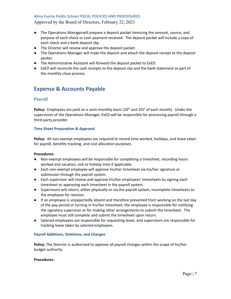Approved by the Board of Directors, February 22, 2021

- The Operations Managerwill prepare a deposit packet itemizing the amount, source, and purpose of each check or cash payment received. The deposit packet will include a copy of each check and a bank deposit slip.
- The Director will review and approve the deposit packet.
- The Operations Manager will make the deposit and attach the deposit receipt to the deposit packet.
- The Administrative Assistant will forward the deposit packet to ExED.
- <span id="page-8-0"></span>● ExED will reconcile the cash receipts to the deposit slip and the bank statement as part of the monthly close process.

# **Expense & Accounts Payable**

# <span id="page-8-1"></span>**Payroll**

Policy: Employees are paid on a semi-monthly basis (10<sup>th</sup> and 25t<sup>h</sup> of each month). Under the supervision of the Operations Manager, ExED will be responsible for processing payroll through a third-party provider.

#### <span id="page-8-2"></span>**Time Sheet Preparation & Approval**

**Policy:** All non-exempt employees are required to record time worked, holidays, and leave taken for payroll, benefits tracking, and cost allocation purposes.

#### **Procedures:**

- Non-exempt employees will be responsible for completing a timesheet, recording hours worked and vacation, sick or holiday time if applicable.
- Each non-exempt employee will approve his/her timesheet via his/her signature or submission through the payroll system.
- Each supervisor will review and approve his/her employees' timesheets by signing each timesheet or approving each timesheet in the payroll system.
- Supervisors will return, either physically or via the payroll system, incomplete timesheets to the employee for revision.
- If an employee is unexpectedly absent and therefore prevented from working on the last day of the pay period or turning in his/her timesheet, the employee is responsible for notifying the signatory supervisor or for making other arrangements to submit the timesheet. The employee must still complete and submit the timesheet upon return.
- Salaried employees are responsible for requesting leave, and supervisors are responsible for tracking leave taken by salaried employees.

#### <span id="page-8-3"></span>**Payroll Additions, Deletions, and Changes**

**Policy:** The Director is authorized to approve all payroll changes within the scope of his/her budget authority.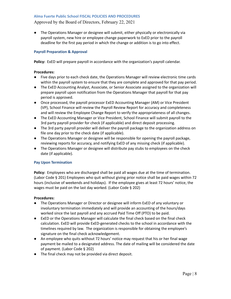Approved by the Board of Directors, February 22, 2021

● The Operations Manager or designee will submit, either physically or electronically via payroll system, new hire or employee change paperwork to ExED prior to the payroll deadline for the first pay period in which the change or addition is to go into effect.

#### <span id="page-9-0"></span>**Payroll Preparation & Approval**

**Policy:** ExED will prepare payroll in accordance with the organization's payroll calendar.

#### **Procedures:**

- Five days prior to each check date, the Operations Manager will review electronic time cards within the payroll system to ensure that they are complete and approved for that pay period.
- The ExED Accounting Analyst, Associate, or Senior Associate assigned to the organization will prepare payroll upon notification from the Operations Manager that payroll for that pay period is approved.
- Once processed, the payroll processor ExED Accounting Manager (AM) or Vice President (VP), School Finance will review the Payroll Review Report for accuracy and completeness and will review the Employee Change Report to verify the appropriateness of all changes.
- The ExED Accounting Manager or Vice President, School Finance will submit payroll to the 3rd party payroll provider for check (if applicable) and direct deposit processing.
- The 3rd party payroll provider will deliver the payroll package to the organization address on file one day prior to the check date (if applicable).
- The Operations Manager or designee will be responsible for opening the payroll package, reviewing reports for accuracy, and notifying ExED of any missing check (if applicable).
- The Operations Manager or designee will distribute pay stubs to employees on the check date (if applicable).

#### <span id="page-9-1"></span>**Pay Upon Termination**

**Policy:** Employees who are discharged shall be paid all wages due at the time of termination. (Labor Code § 201) Employees who quit without giving prior notice shall be paid wages within 72 hours (inclusive of weekends and holidays). If the employee gives at least 72 hours' notice, the wages must be paid on the last day worked. (Labor Code § 202)

- The Operations Manager or Director or designee will inform ExED of any voluntary or involuntary termination immediately and will provide an accounting of the hours/days worked since the last payroll and any accrued Paid Time Off (PTO) to be paid.
- ExED or the Operations Manager will calculate the final check based on the final check calculation. ExED will provide ExED-generated checks to the school in accordance with the timelines required by law. The organization is responsible for obtaining the employee's signature on the final check acknowledgement.
- An employee who quits without 72 hours' notice may request that his or her final wage payment be mailed to a designated address. The date of mailing will be considered the date of payment. (Labor Code § 202)
- The final check may not be provided via direct deposit.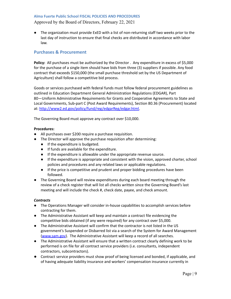Approved by the Board of Directors, February 22, 2021

● The organization must provide ExED with a list of non-returning staff two weeks prior to the last day of instruction to ensure that final checks are distributed in accordance with labor law.

# <span id="page-10-0"></span>**Purchases & Procurement**

**Policy:** All purchases must be authorized by the Director . Any expenditure in excess of \$5,000 for the purchase of a single item should have bids from three (3) suppliers if possible. Any food contract that exceeds \$150,000 (the small purchase threshold set by the US Department of Agriculture) shall follow a competitive bid process.

Goods or services purchased with federal funds must follow federal procurement guidelines as outlined in Education Department General Administration Regulations (EDGAR), Part 80—Uniform Administrative Requirements for Grants and Cooperative Agreements to State and Local Governments, Sub-part C (Post Award Requirements), Section 80.36 (Procurement) located at: [http://www2.ed.gov/policy/fund/reg/edgarReg/edgar.html.](http://www2.ed.gov/policy/fund/reg/edgarReg/edgar.html)

The Governing Board must approve any contract over \$10,000.

#### **Procedures:**

- All purchases over \$200 require a purchase requisition.
- The Director will approve the purchase requisition after determining:
	- If the expenditure is budgeted.
	- If funds are available for the expenditure.
	- If the expenditure is allowable under the appropriate revenue source.
	- If the expenditure is appropriate and consistent with the vision, approved charter, school policies and procedures and any related laws or applicable regulations.
	- If the price is competitive and prudent and proper bidding procedures have been followed.
- The Governing Board will review expenditures during each board meeting through the review of a check register that will list all checks written since the Governing Board's last meeting and will include the check #, check date, payee, and check amount.

#### *Contracts*

- The Operations Manager will consider in-house capabilities to accomplish services before contracting for them.
- The Administrative Assistant will keep and maintain a contract file evidencing the competitive bids obtained (if any were required) for any contract over \$5,000.
- The Administrative Assistant will confirm that the contractor is not listed in the US government's Suspended or Disbarred list via a search of the System for Award Management [\(www.sam.gov](http://www.sam.gov)). The Administrative Assistant will keep a record of all searches.
- The Administrative Assistant will ensure that a written contract clearly defining work to be performed is on file for all contract service providers (i.e. consultants, independent contractors, subcontractors).
- Contract service providers must show proof of being licensed and bonded, if applicable, and of having adequate liability insurance and workers' compensation insurance currently in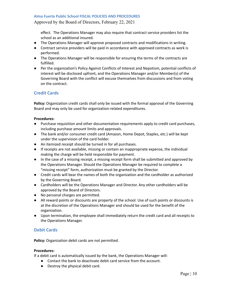#### Approved by the Board of Directors, February 22, 2021

effect. The Operations Manager may also require that contract service providers list the school as an additional insured.

- The Operations Manager will approve proposed contracts and modifications in writing.
- Contract service providers will be paid in accordance with approved contracts as work is performed.
- The Operations Manager will be responsible for ensuring the terms of the contracts are fulfilled.
- Per the organization's Policy Against Conflicts of Interest and Nepotism, potential conflicts of interest will be disclosed upfront, and the Operations Manager and/or Member(s) of the Governing Board with the conflict will excuse themselves from discussions and from voting on the contract.

# <span id="page-11-0"></span>**Credit Cards**

**Policy:** Organization credit cards shall only be issued with the formal approval of the Governing Board and may only be used for organization-related expenditures.

#### **Procedures:**

- Purchase requisition and other documentation requirements apply to credit card purchases, including purchase amount limits and approvals.
- The bank and/or consumer credit card (Amazon, Home Depot, Staples, etc.) will be kept under the supervision of the card holder.
- An itemized receipt should be turned in for all purchases.
- If receipts are not available, missing or contain an inappropriate expense, the individual making the charge will be held responsible for payment.
- In the case of a missing receipt, a missing receipt form shall be submitted and approved by the Operations Manager. Should the Operations Manager be required to complete a "missing receipt" form, authorization must be granted by the Director.
- Credit cards will bear the names of both the organization and the cardholder as authorized by the Governing Board.
- Cardholders will be the Operations Manager and Director. Any other cardholders will be approved by the Board of Directors.
- No personal charges are permitted.
- All reward points or discounts are property of the school. Use of such points or discounts is at the discretion of the Operations Manager and should be used for the benefit of the organization.
- Upon termination, the employee shall immediately return the credit card and all receipts to the Operations Manager.

# <span id="page-11-1"></span>**Debit Cards**

**Policy:** Organization debit cards are not permitted.

#### **Procedures:**

If a debit card is automatically issued by the bank, the Operations Manager will:

- Contact the bank to deactivate debit card service from the account.
- Destroy the physical debit card.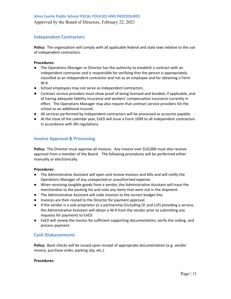# <span id="page-12-0"></span>**Independent Contractors**

**Policy:** The organization will comply with all applicable federal and state laws relative to the use of independent contractors.

#### **Procedures:**

- The Operations Manager or Director has the authority to establish a contract with an independent contractor and is responsible for verifying that the person is appropriately classified as an independent contractor and not as an employee and for obtaining a Form W-9.
- School employees may not serve as independent contractors.
- Contract service providers must show proof of being licensed and bonded, if applicable, and of having adequate liability insurance and workers' compensation insurance currently in effect. The Operations Manager may also require that contract service providers list the school as an additional insured.
- All services performed by independent contractors will be processed as accounts payable.
- At the close of the calendar year, ExED will issue a Form 1099 to all independent contractors in accordance with IRS regulations.

# <span id="page-12-1"></span>**Invoice Approval & Processing**

Policy: The Director must approve all invoices. Any invoice over \$10,000 must also receive approval from a member of the Board. The following procedures will be performed either manually or electronically.

#### **Procedures:**

- The Administrative Assistant will open and review invoices and bills and will notify the Operations Manager of any unexpected or unauthorized expense.
- When receiving tangible goods from a vendor, the Administrative Assistant will trace the merchandise to the packing list and note any items that were not in the shipment.
- The Administrative Assistant will code invoices to the correct budget line.
- Invoices are then routed to the Director for payment approval.
- If the vendor is a sole proprietor or a partnership (including LP, and LLP) providing a service, the Administrative Assistant will obtain a W-9 from the vendor prior to submitting any requests for payments to ExED.
- ExED will review the invoice for sufficient supporting documentation, verify the coding, and process payment.

# <span id="page-12-2"></span>**Cash Disbursements**

**Policy:** Bank checks will be issued upon receipt of appropriate documentation (e.g. vendor invoice, purchase order, packing slip, etc.).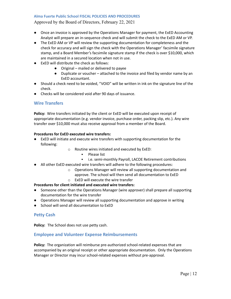Approved by the Board of Directors, February 22, 2021

- Once an invoice is approved by the Operations Manager for payment, the ExED Accounting Analyst will prepare an in-sequence check and will submit the check to the ExED AM or VP.
- The ExED AM or VP will review the supporting documentation for completeness and the check for accuracy and will sign the check with the Operations Manager' facsimile signature stamp, and a Board Member's facsimile signature stamp if the check is over \$10,000, which are maintained in a secured location when not in use.
- ExED will distribute the check as follows:
	- Original mailed or delivered to payee
	- Duplicate or voucher attached to the invoice and filed by vendor name by an ExED accountant.
- Should a check need to be voided, "VOID" will be written in ink on the signature line of the check.
- Checks will be considered void after 90 days of issuance.

# <span id="page-13-0"></span>**Wire Transfers**

**Policy:** Wire transfers initiated by the client or ExED will be executed upon receipt of appropriate documentation (e.g. vendor invoice, purchase order, packing slip, etc.). Any wire transfer over \$10,000 must also receive approval from a member of the Board.

#### **Procedures for ExED executed wire transfers:**

- ExED will initiate and execute wire transfers with supporting documentation for the following:
	- o Routine wires initiated and executed by ExED:
		- Please list
		- i.e. semi-monthly Payroll, LACOE Retirement contributions
- All other ExED executed wire transfers will adhere to the following procedures:
	- o Operations Manager will review all supporting documentation and
		- approve. The school will then send all documentation to ExED
	- o ExED will execute the wire transfer

# **Procedures for client initiated and executed wire transfers:**

- Someone other than the Operations Manager (wire approver) shall prepare all supporting documentation for the wire transfer
- Operations Manager will review all supporting documentation and approve in writing
- School will send all documentation to ExED

# **Petty Cash**

<span id="page-13-1"></span>**Policy:** The School does not use petty cash.

# **Employee and Volunteer Expense Reimbursements**

**Policy:** The organization will reimburse pre-authorized school-related expenses that are accompanied by an original receipt or other appropriate documentation. Only the Operations Manager or Director may incur school-related expenses without pre-approval.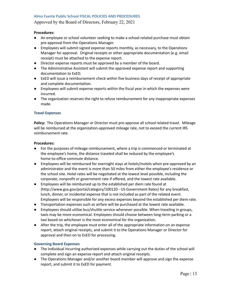Approved by the Board of Directors, February 22, 2021

#### **Procedures:**

- An employee or school volunteer seeking to make a school-related purchase must obtain pre-approval from the Operations Manager.
- Employees will submit signed expense reports monthly, as necessary, to the Operations Manager for approval. Original receipts or other appropriate documentation (e.g. email receipt) must be attached to the expense report.
- Director expense reports must be approved by a member of the board.
- The Administrative Assistant will submit the approved expense report and supporting documentation to ExED.
- ExED will issue a reimbursement check within five business days of receipt of appropriate and complete documentation.
- Employees will submit expense reports within the fiscal year in which the expenses were incurred.
- The organization reserves the right to refuse reimbursement for any inappropriate expenses made.

#### <span id="page-14-0"></span>**Travel Expenses**

**Policy:** The Operations Manager or Director must pre-approve all school related travel. Mileage will be reimbursed at the organization-approved mileage rate, not to exceed the current IRS reimbursement rate.

#### **Procedures:**

- For the purposes of mileage reimbursement, where a trip is commenced or terminated at the employee's home, the distance traveled shall be reduced by the employee's home-to-office commute distance.
- Employees will be reimbursed for overnight stays at hotels/motels when pre-approved by an administrator and the event is more than 50 miles from either the employee's residence or the school site. Hotel rates will be negotiated at the lowest level possible, including the corporate, nonprofit or government rate if offered, and the lowest rate available.
- Employees will be reimbursed up to the established per diem rate found at (http://www.gsa.gov/portal/category/100120 - US Government Rates) for any breakfast, lunch, dinner, or incidental expense that is not included as part of the related event. Employees will be responsible for any excess expenses beyond the established per diem rate.
- Transportation expenses such as airfare will be purchased at the lowest rate available.
- Employees should utilize bus/shuttle service whenever possible. When traveling in groups, taxis may be more economical. Employees should choose between long-term parking or a taxi based on whichever is the most economical for the organization.
- After the trip, the employee must enter all of the appropriate information on an expense report, attach original receipts, and submit it to the Operations Manager or Director for approval and then on to ExED for processing.

#### <span id="page-14-1"></span>**Governing Board Expenses**

- The individual incurring authorized expenses while carrying out the duties of the school will complete and sign an expense report and attach original receipts.
- The Operations Manager and/or another board member will approve and sign the expense report, and submit it to ExED for payment.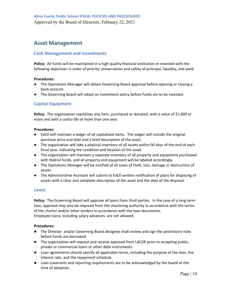# <span id="page-15-0"></span>**Asset Management**

# <span id="page-15-1"></span>**Cash Management and Investments**

**Policy:** All funds will be maintained in a high quality financial institution or invested with the following objectives in order of priority; preservation and safety of principal, liquidity, and yield.

#### **Procedures:**

- The Operations Manager will obtain Governing Board approval before opening or closing a bank account.
- The Governing Board will adopt an investment policy before funds are to be invested.

# <span id="page-15-2"></span>**Capital Equipment**

**Policy:** The organization capitalizes any item, purchased or donated, with a value of \$1,000 or more and with a useful life of more than one year.

#### **Procedures:**

- ExED will maintain a ledger of all capitalized items. The ledger will include the original purchase price and date and a brief description of the asset.
- The organization will take a physical inventory of all assets within 90 days of the end of each fiscal year, indicating the condition and location of the asset.
- The organization will maintain a separate inventory of all property and equipment purchased with federal funds, and all property and equipment will be labeled accordingly.
- The Operations Manager will be notified of all cases of theft, loss, damage or destruction of assets.
- The Administrative Assistant will submit to ExED written notification of plans for disposing of assets with a clear and complete description of the asset and the date of the disposal.

# <span id="page-15-3"></span>**Loans**

**Policy:** The Governing Board will approve all loans from third parties. In the case of a long-term loan, approval may also be required from the chartering authority in accordance with the terms of the charter and/or other lenders in accordance with the loan documents. Employee loans, including salary advances, are not allowed.

- **●** The Director and/or Governing Board designee shall review and sign the promissory note before funds are borrowed.
- **●** The organization will request and receive approval from LACOE prior to accepting public, private or commercial loans or other debt instruments.
- **●** Loan agreements should specify all applicable terms, including the purpose of the loan, the interest rate, and the repayment schedule.
- **●** Loan covenants and reporting requirements are to be acknowledged by the board at the time of adoption.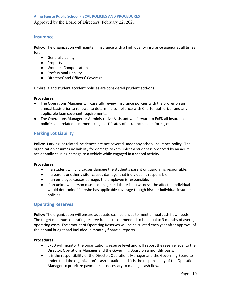Approved by the Board of Directors, February 22, 2021

#### <span id="page-16-0"></span>**Insurance**

**Policy:** The organization will maintain insurance with a high quality insurance agency at all times for:

- General Liability
- Property
- Workers' Compensation
- Professional Liability
- Directors' and Officers' Coverage

Umbrella and student accident policies are considered prudent add-ons.

#### **Procedures:**

- The Operations Manager will carefully review insurance policies with the Broker on an annual basis prior to renewal to determine compliance with Charter authorizer and any applicable loan covenant requirements.
- The Operations Manager or Administrative Assistant will forward to ExED all insurance policies and related documents (e.g. certificates of insurance, claim forms, etc.).

# <span id="page-16-1"></span>**Parking Lot Liability**

**Policy:** Parking lot related incidences are not covered under any school insurance policy. The organization assumes no liability for damage to cars unless a student is observed by an adult accidentally causing damage to a vehicle while engaged in a school activity.

#### **Procedures:**

- If a student willfully causes damage the student's parent or guardian is responsible.
- If a parent or other visitor causes damage, that individual is responsible.
- If an employee causes damage, the employee is responsible.
- If an unknown person causes damage and there is no witness, the affected individual would determine if he/she has applicable coverage though his/her individual insurance policies.

# <span id="page-16-2"></span>**Operating Reserves**

**Policy:** The organization will ensure adequate cash balances to meet annual cash flow needs. The target minimum operating reserve fund is recommended to be equal to 3 months of average operating costs. The amount of Operating Reserves will be calculated each year after approval of the annual budget and included in monthly financial reports.

- ExED will monitor the organization's reserve level and will report the reserve level to the Director, Operations Manager and the Governing Board on a monthly basis.
- It is the responsibility of the Director, Operations Manager and the Governing Board to understand the organization's cash situation and it is the responsibility of the Operations Manager to prioritize payments as necessary to manage cash flow.